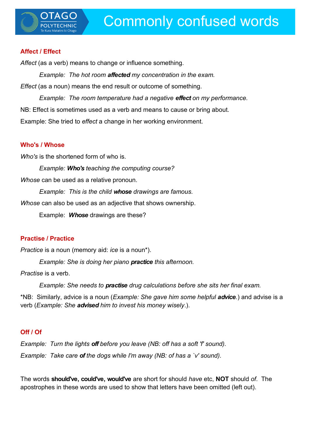#### **Affect / Effect**

Affect (as a verb) means to change or influence something.

*Example: The hot room affected my concentration in the exam. Effect* (as a noun) means the end result or outcome of something.

*Example: The room temperature had a negative effect on my performance.* NB: Effect is sometimes used as a verb and means to cause or bring about. Example: She tried to *effect* a change in her working environment.

#### **Who's / Whose**

*Who's* is the shortened form of who is.

*Example: Who's teaching the computing course?*

*Whose* can be used as a relative pronoun.

*Example: This is the child whose drawings are famous.*

*Whose* can also be used as an adjective that shows ownership.

Example: *Whose* drawings are these?

#### **Practise / Practice**

*Practice* is a noun (memory aid: *ice* is a noun\*).

*Example: She is doing her piano practice this afternoon.*

*Practise* is a verb.

*Example: She needs to practise drug calculations before she sits her final exam.*

\*NB: Similarly, advice is a noun (*Example: She gave him some helpful advice.*) and advise is a verb (*Example: She advised him to invest his money wisely*.).

## **Off / Of**

*Example: Turn the lights off before you leave (NB: off has a soft 'f' sound). Example: Take care of the dogs while I'm away (NB: of has a `v' sound).*

The words **should've, could've, would've** are short for should *have* etc, **NOT** should *of*. The apostrophes in these words are used to show that letters have been omitted (left out).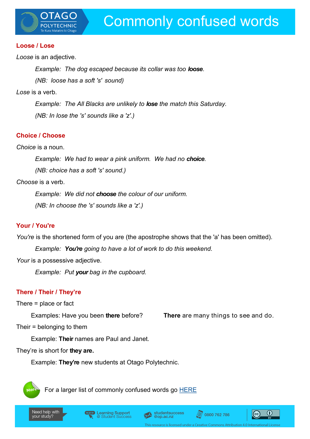

#### **Loose / Lose**

*Loose* is an adjective.

*Example: The dog escaped because its collar was too loose.* 

*(NB: loose has a soft 's' sound)*

*Lose* is a verb.

*Example: The All Blacks are unlikely to lose the match this Saturday. (NB: In lose the 's' sounds like a 'z'.)*

## **Choice / Choose**

*Choice* is a noun.

*Example: We had to wear a pink uniform. We had no choice.* 

*(NB: choice has a soft 's' sound.)*

*Choose* is a verb.

*Example: We did not choose the colour of our uniform.* 

*(NB: In choose the 's' sounds like a 'z'.)*

## **Your / You're**

*You're* is the shortened form of you are (the apostrophe shows that the 'a' has been omitted).

*Example: You're going to have a lot of work to do this weekend.*

*Your* is a possessive adjective.

*Example: Put your bag in the cupboard.*

## **There / Their / They're**

There = place or fact

Examples: Have you been **there** before? **There** are many things to see and do.

Their = belonging to them

Example: **Their** names are Paul and Janet.

They're is short for **they are.**

Example: **They're** new students at Otago Polytechnic.



For a larger list of commonly confused words go [HERE](http://www.stlcc.edu/Student_Resources/Academic_Resources/Writing_Resources/Grammar_Handouts/commonly_confused_words.pdf)